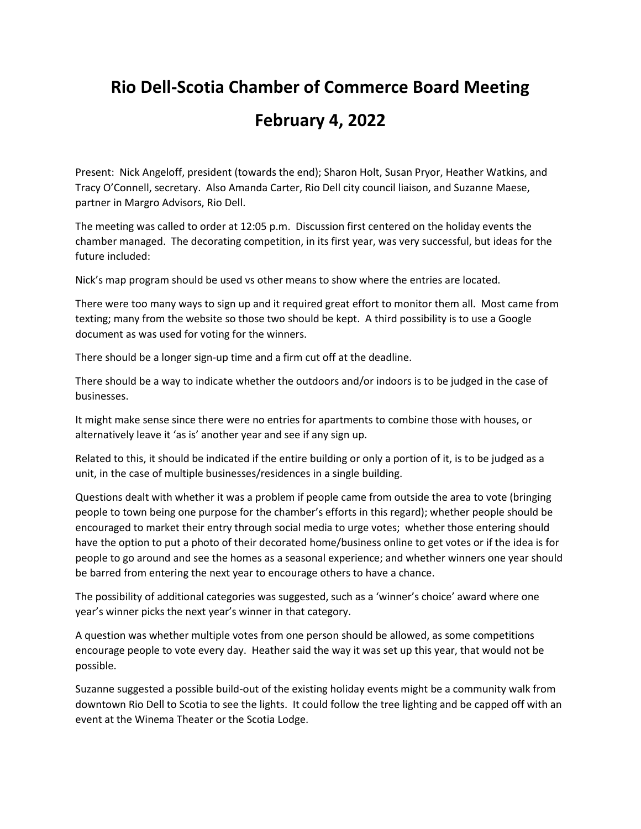## **Rio Dell-Scotia Chamber of Commerce Board Meeting**

## **February 4, 2022**

Present: Nick Angeloff, president (towards the end); Sharon Holt, Susan Pryor, Heather Watkins, and Tracy O'Connell, secretary. Also Amanda Carter, Rio Dell city council liaison, and Suzanne Maese, partner in Margro Advisors, Rio Dell.

The meeting was called to order at 12:05 p.m. Discussion first centered on the holiday events the chamber managed. The decorating competition, in its first year, was very successful, but ideas for the future included:

Nick's map program should be used vs other means to show where the entries are located.

There were too many ways to sign up and it required great effort to monitor them all. Most came from texting; many from the website so those two should be kept. A third possibility is to use a Google document as was used for voting for the winners.

There should be a longer sign-up time and a firm cut off at the deadline.

There should be a way to indicate whether the outdoors and/or indoors is to be judged in the case of businesses.

It might make sense since there were no entries for apartments to combine those with houses, or alternatively leave it 'as is' another year and see if any sign up.

Related to this, it should be indicated if the entire building or only a portion of it, is to be judged as a unit, in the case of multiple businesses/residences in a single building.

Questions dealt with whether it was a problem if people came from outside the area to vote (bringing people to town being one purpose for the chamber's efforts in this regard); whether people should be encouraged to market their entry through social media to urge votes; whether those entering should have the option to put a photo of their decorated home/business online to get votes or if the idea is for people to go around and see the homes as a seasonal experience; and whether winners one year should be barred from entering the next year to encourage others to have a chance.

The possibility of additional categories was suggested, such as a 'winner's choice' award where one year's winner picks the next year's winner in that category.

A question was whether multiple votes from one person should be allowed, as some competitions encourage people to vote every day. Heather said the way it was set up this year, that would not be possible.

Suzanne suggested a possible build-out of the existing holiday events might be a community walk from downtown Rio Dell to Scotia to see the lights. It could follow the tree lighting and be capped off with an event at the Winema Theater or the Scotia Lodge.